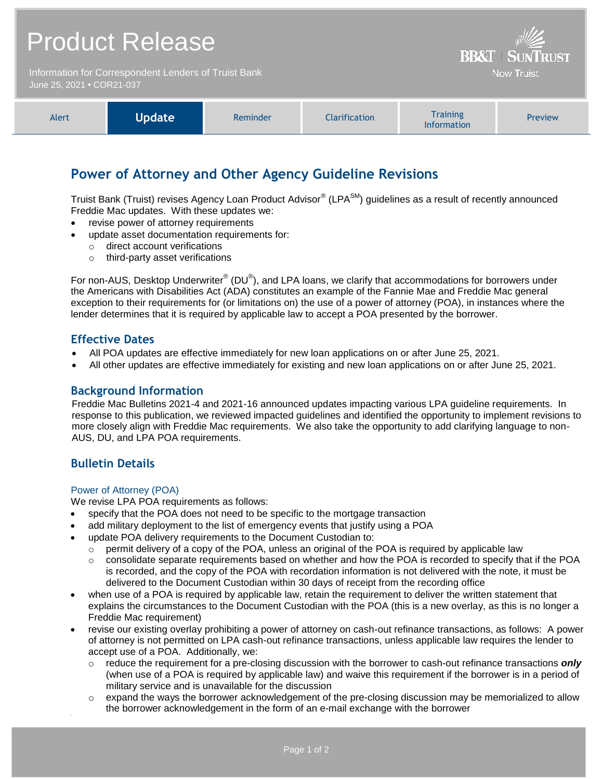## Product Release

Information for Correspondent Lenders of Truist Bank June 25, 2021 **•** COR21-037

| Training<br><b>Update</b><br><b>Clarification</b><br>Alert<br><b>Preview</b><br>Reminder<br><b>Information</b> |
|----------------------------------------------------------------------------------------------------------------|
|----------------------------------------------------------------------------------------------------------------|

**BB&T | SUNTRUST Now Truist** 

## **Power of Attorney and Other Agency Guideline Revisions**

Truist Bank (Truist) revises Agency Loan Product Advisor® (LPA<sup>SM</sup>) guidelines as a result of recently announced Freddie Mac updates. With these updates we:

- revise power of attorney requirements
- update asset documentation requirements for:
	- o direct account verifications
	- o third-party asset verifications

For non-AUS, Desktop Underwriter® (DU®), and LPA loans, we clarify that accommodations for borrowers under the Americans with Disabilities Act (ADA) constitutes an example of the Fannie Mae and Freddie Mac general exception to their requirements for (or limitations on) the use of a power of attorney (POA), in instances where the lender determines that it is required by applicable law to accept a POA presented by the borrower.

### **Effective Dates**

- All POA updates are effective immediately for new loan applications on or after June 25, 2021.
- All other updates are effective immediately for existing and new loan applications on or after June 25, 2021.

### **Background Information**

Freddie Mac Bulletins 2021-4 and 2021-16 announced updates impacting various LPA guideline requirements. In response to this publication, we reviewed impacted guidelines and identified the opportunity to implement revisions to more closely align with Freddie Mac requirements. We also take the opportunity to add clarifying language to non-AUS, DU, and LPA POA requirements.

## **Bulletin Details**

#### Power of Attorney (POA)

We revise LPA POA requirements as follows:

- specify that the POA does not need to be specific to the mortgage transaction
- add military deployment to the list of emergency events that justify using a POA
- update POA delivery requirements to the Document Custodian to:
	- $\circ$  permit delivery of a copy of the POA, unless an original of the POA is required by applicable law
	- $\circ$  consolidate separate requirements based on whether and how the POA is recorded to specify that if the POA is recorded, and the copy of the POA with recordation information is not delivered with the note, it must be delivered to the Document Custodian within 30 days of receipt from the recording office
- when use of a POA is required by applicable law, retain the requirement to deliver the written statement that explains the circumstances to the Document Custodian with the POA (this is a new overlay, as this is no longer a Freddie Mac requirement)
- revise our existing overlay prohibiting a power of attorney on cash-out refinance transactions, as follows: A power of attorney is not permitted on LPA cash-out refinance transactions, unless applicable law requires the lender to accept use of a POA. Additionally, we:
	- o reduce the requirement for a pre-closing discussion with the borrower to cash-out refinance transactions *only* (when use of a POA is required by applicable law) and waive this requirement if the borrower is in a period of military service and is unavailable for the discussion
	- $\circ$  expand the ways the borrower acknowledgement of the pre-closing discussion may be memorialized to allow the borrower acknowledgement in the form of an e-mail exchange with the borrower